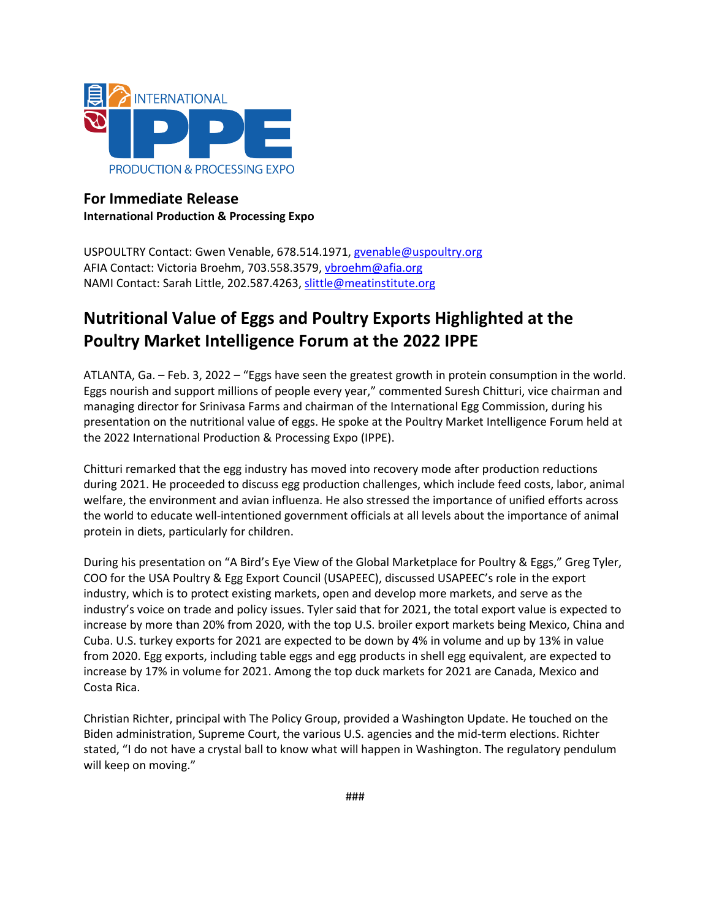

# **For Immediate Release International Production & Processing Expo**

USPOULTRY Contact: Gwen Venable, 678.514.1971, gvenable@uspoultry.org AFIA Contact: Victoria Broehm, 703.558.3579, vbroehm@afia.org NAMI Contact: Sarah Little, 202.587.4263, [slittle@meatinstitute.org](mailto:slittle@meatinstitute.org)

# **Nutritional Value of Eggs and Poultry Exports Highlighted at the Poultry Market Intelligence Forum at the 2022 IPPE**

ATLANTA, Ga. – Feb. 3, 2022 – "Eggs have seen the greatest growth in protein consumption in the world. Eggs nourish and support millions of people every year," commented Suresh Chitturi, vice chairman and managing director for Srinivasa Farms and chairman of the International Egg Commission, during his presentation on the nutritional value of eggs. He spoke at the Poultry Market Intelligence Forum held at the 2022 International Production & Processing Expo (IPPE).

Chitturi remarked that the egg industry has moved into recovery mode after production reductions during 2021. He proceeded to discuss egg production challenges, which include feed costs, labor, animal welfare, the environment and avian influenza. He also stressed the importance of unified efforts across the world to educate well-intentioned government officials at all levels about the importance of animal protein in diets, particularly for children.

During his presentation on "A Bird's Eye View of the Global Marketplace for Poultry & Eggs," Greg Tyler, COO for the USA Poultry & Egg Export Council (USAPEEC), discussed USAPEEC's role in the export industry, which is to protect existing markets, open and develop more markets, and serve as the industry's voice on trade and policy issues. Tyler said that for 2021, the total export value is expected to increase by more than 20% from 2020, with the top U.S. broiler export markets being Mexico, China and Cuba. U.S. turkey exports for 2021 are expected to be down by 4% in volume and up by 13% in value from 2020. Egg exports, including table eggs and egg products in shell egg equivalent, are expected to increase by 17% in volume for 2021. Among the top duck markets for 2021 are Canada, Mexico and Costa Rica.

Christian Richter, principal with The Policy Group, provided a Washington Update. He touched on the Biden administration, Supreme Court, the various U.S. agencies and the mid-term elections. Richter stated, "I do not have a crystal ball to know what will happen in Washington. The regulatory pendulum will keep on moving."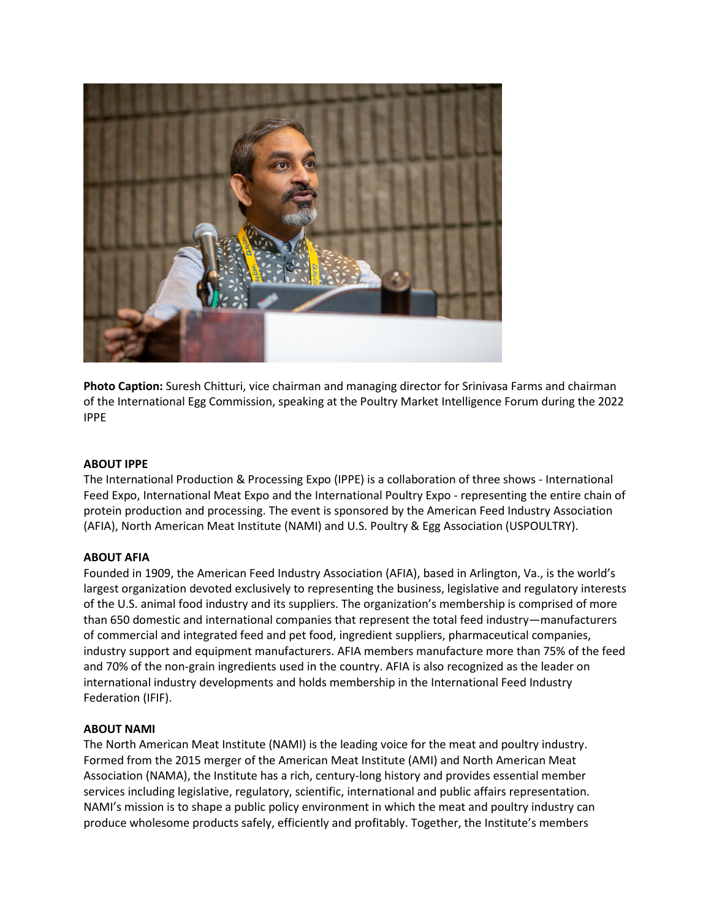

**Photo Caption:** Suresh Chitturi, vice chairman and managing director for Srinivasa Farms and chairman of the International Egg Commission, speaking at the Poultry Market Intelligence Forum during the 2022 IPPE

### **ABOUT IPPE**

The International Production & Processing Expo (IPPE) is a collaboration of three shows - International Feed Expo, International Meat Expo and the International Poultry Expo - representing the entire chain of protein production and processing. The event is sponsored by the American Feed Industry Association (AFIA), North American Meat Institute (NAMI) and U.S. Poultry & Egg Association (USPOULTRY).

#### **ABOUT AFIA**

Founded in 1909, the American Feed Industry Association (AFIA), based in Arlington, Va., is the world's largest organization devoted exclusively to representing the business, legislative and regulatory interests of the U.S. animal food industry and its suppliers. The organization's membership is comprised of more than 650 domestic and international companies that represent the total feed industry—manufacturers of commercial and integrated feed and pet food, ingredient suppliers, pharmaceutical companies, industry support and equipment manufacturers. AFIA members manufacture more than 75% of the feed and 70% of the non-grain ingredients used in the country. AFIA is also recognized as the leader on international industry developments and holds membership in the International Feed Industry Federation (IFIF).

#### **ABOUT NAMI**

The North American Meat Institute (NAMI) is the leading voice for the meat and poultry industry. Formed from the 2015 merger of the American Meat Institute (AMI) and North American Meat Association (NAMA), the Institute has a rich, century-long history and provides essential member services including legislative, regulatory, scientific, international and public affairs representation. NAMI's mission is to shape a public policy environment in which the meat and poultry industry can produce wholesome products safely, efficiently and profitably. Together, the Institute's members